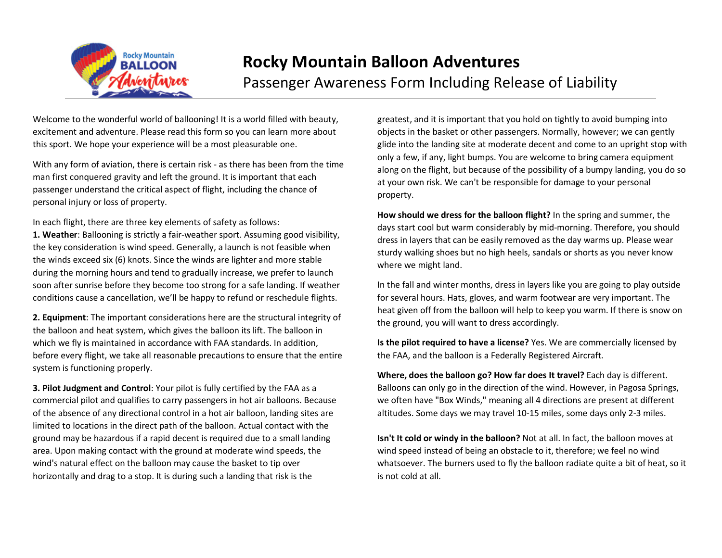

## **Rocky Mountain Balloon Adventures** Passenger Awareness Form Including Release of Liability

Welcome to the wonderful world of ballooning! It is a world filled with beauty, excitement and adventure. Please read this form so you can learn more about this sport. We hope your experience will be a most pleasurable one.

With any form of aviation, there is certain risk - as there has been from the time man first conquered gravity and left the ground. It is important that each passenger understand the critical aspect of flight, including the chance of personal injury or loss of property.

In each flight, there are three key elements of safety as follows:

**1. Weather**: Ballooning is strictly a fair-weather sport. Assuming good visibility, the key consideration is wind speed. Generally, a launch is not feasible when the winds exceed six (6) knots. Since the winds are lighter and more stable during the morning hours and tend to gradually increase, we prefer to launch soon after sunrise before they become too strong for a safe landing. If weather conditions cause a cancellation, we'll be happy to refund or reschedule flights.

**2. Equipment**: The important considerations here are the structural integrity of the balloon and heat system, which gives the balloon its lift. The balloon in which we fly is maintained in accordance with FAA standards. In addition, before every flight, we take all reasonable precautions to ensure that the entire system is functioning properly.

**3. Pilot Judgment and Control**: Your pilot is fully certified by the FAA as a commercial pilot and qualifies to carry passengers in hot air balloons. Because of the absence of any directional control in a hot air balloon, landing sites are limited to locations in the direct path of the balloon. Actual contact with the ground may be hazardous if a rapid decent is required due to a small landing area. Upon making contact with the ground at moderate wind speeds, the wind's natural effect on the balloon may cause the basket to tip over horizontally and drag to a stop. It is during such a landing that risk is the

greatest, and it is important that you hold on tightly to avoid bumping into objects in the basket or other passengers. Normally, however; we can gently glide into the landing site at moderate decent and come to an upright stop with only a few, if any, light bumps. You are welcome to bring camera equipment along on the flight, but because of the possibility of a bumpy landing, you do so at your own risk. We can't be responsible for damage to your personal property.

**How should we dress for the balloon flight?** In the spring and summer, the days start cool but warm considerably by mid-morning. Therefore, you should dress in layers that can be easily removed as the day warms up. Please wear sturdy walking shoes but no high heels, sandals or shorts as you never know where we might land.

In the fall and winter months, dress in layers like you are going to play outside for several hours. Hats, gloves, and warm footwear are very important. The heat given off from the balloon will help to keep you warm. If there is snow on the ground, you will want to dress accordingly.

**Is the pilot required to have a license?** Yes. We are commercially licensed by the FAA, and the balloon is a Federally Registered Aircraft.

**Where, does the balloon go? How far does It travel?** Each day is different. Balloons can only go in the direction of the wind. However, in Pagosa Springs, we often have "Box Winds," meaning all 4 directions are present at different altitudes. Some days we may travel 10-15 miles, some days only 2-3 miles.

**Isn't It cold or windy in the balloon?** Not at all. In fact, the balloon moves at wind speed instead of being an obstacle to it, therefore; we feel no wind whatsoever. The burners used to fly the balloon radiate quite a bit of heat, so it is not cold at all.